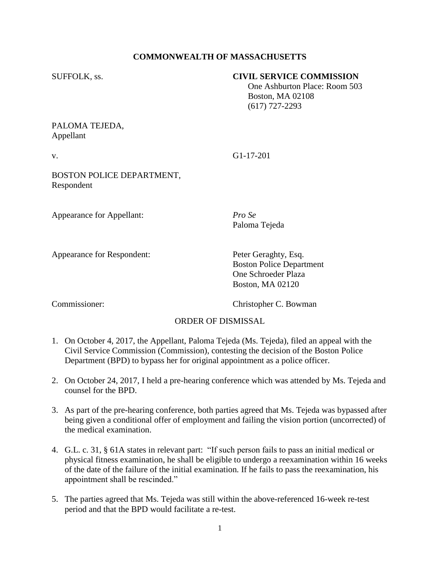## **COMMONWEALTH OF MASSACHUSETTS**

#### SUFFOLK, ss. **CIVIL SERVICE COMMISSION**

 One Ashburton Place: Room 503 Boston, MA 02108 (617) 727-2293

#### PALOMA TEJEDA, Appellant

v. G1-17-201

Paloma Tejeda

BOSTON POLICE DEPARTMENT, Respondent

Appearance for Appellant: *Pro Se*

Appearance for Respondent: Peter Geraghty, Esq.

Boston Police Department One Schroeder Plaza Boston, MA 02120

Commissioner: Christopher C. Bowman

## ORDER OF DISMISSAL

- 1. On October 4, 2017, the Appellant, Paloma Tejeda (Ms. Tejeda), filed an appeal with the Civil Service Commission (Commission), contesting the decision of the Boston Police Department (BPD) to bypass her for original appointment as a police officer.
- 2. On October 24, 2017, I held a pre-hearing conference which was attended by Ms. Tejeda and counsel for the BPD.
- 3. As part of the pre-hearing conference, both parties agreed that Ms. Tejeda was bypassed after being given a conditional offer of employment and failing the vision portion (uncorrected) of the medical examination.
- 4. G.L. c. 31, § 61A states in relevant part: "If such person fails to pass an initial medical or physical fitness examination, he shall be eligible to undergo a reexamination within 16 weeks of the date of the failure of the initial examination. If he fails to pass the reexamination, his appointment shall be rescinded."
- 5. The parties agreed that Ms. Tejeda was still within the above-referenced 16-week re-test period and that the BPD would facilitate a re-test.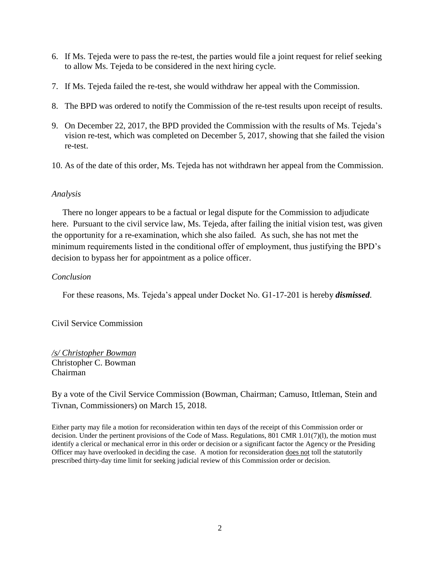- 6. If Ms. Tejeda were to pass the re-test, the parties would file a joint request for relief seeking to allow Ms. Tejeda to be considered in the next hiring cycle.
- 7. If Ms. Tejeda failed the re-test, she would withdraw her appeal with the Commission.
- 8. The BPD was ordered to notify the Commission of the re-test results upon receipt of results.
- 9. On December 22, 2017, the BPD provided the Commission with the results of Ms. Tejeda's vision re-test, which was completed on December 5, 2017, showing that she failed the vision re-test.
- 10. As of the date of this order, Ms. Tejeda has not withdrawn her appeal from the Commission.

## *Analysis*

 There no longer appears to be a factual or legal dispute for the Commission to adjudicate here. Pursuant to the civil service law, Ms. Tejeda, after failing the initial vision test, was given the opportunity for a re-examination, which she also failed. As such, she has not met the minimum requirements listed in the conditional offer of employment, thus justifying the BPD's decision to bypass her for appointment as a police officer.

# *Conclusion*

For these reasons, Ms. Tejeda's appeal under Docket No. G1-17-201 is hereby *dismissed*.

Civil Service Commission

*/s/ Christopher Bowman* Christopher C. Bowman Chairman

By a vote of the Civil Service Commission (Bowman, Chairman; Camuso, Ittleman, Stein and Tivnan, Commissioners) on March 15, 2018.

Either party may file a motion for reconsideration within ten days of the receipt of this Commission order or decision. Under the pertinent provisions of the Code of Mass. Regulations, 801 CMR 1.01(7)(l), the motion must identify a clerical or mechanical error in this order or decision or a significant factor the Agency or the Presiding Officer may have overlooked in deciding the case. A motion for reconsideration does not toll the statutorily prescribed thirty-day time limit for seeking judicial review of this Commission order or decision.